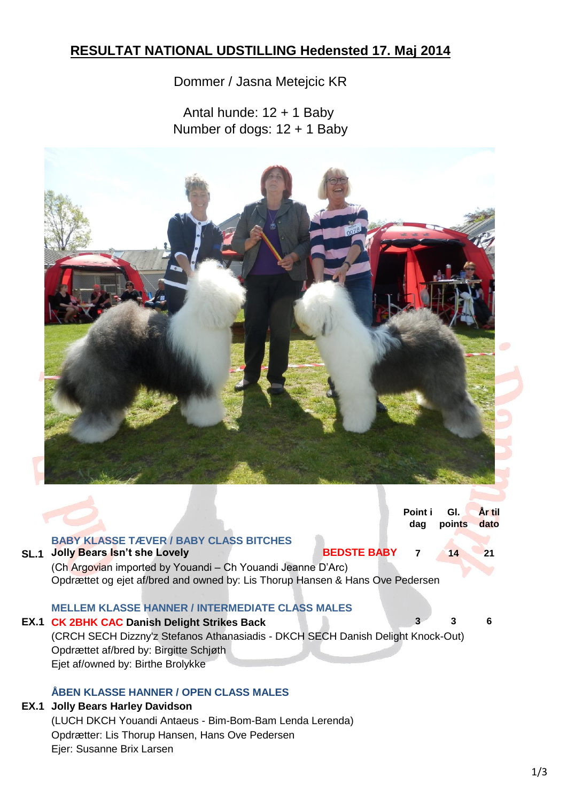## **RESULTAT NATIONAL UDSTILLING Hedensted 17. Maj 2014**

## Dommer / Jasna Metejcic KR

Antal hunde: 12 + 1 Baby Number of dogs: 12 + 1 Baby



|                                                                                 |                                                                                                                                              | Point i<br>dag | GI.<br>points | År til<br>dato |  |
|---------------------------------------------------------------------------------|----------------------------------------------------------------------------------------------------------------------------------------------|----------------|---------------|----------------|--|
| <b>SL.1</b>                                                                     | <b>BABY KLASSE TÆVER / BABY CLASS BITCHES</b><br><b>BEDSTE BABY</b><br><b>Jolly Bears Isn't she Lovely</b>                                   |                | 14            |                |  |
|                                                                                 | (Ch Argovian imported by Youandi - Ch Youandi Jeanne D'Arc)<br>Opdrættet og ejet af/bred and owned by: Lis Thorup Hansen & Hans Ove Pedersen |                |               |                |  |
|                                                                                 |                                                                                                                                              |                |               |                |  |
|                                                                                 | <b>MELLEM KLASSE HANNER / INTERMEDIATE CLASS MALES</b>                                                                                       |                |               |                |  |
|                                                                                 | <b>EX.1 CK 2BHK CAC Danish Delight Strikes Back</b>                                                                                          |                | 3             | 6              |  |
| (CRCH SECH Dizzny'z Stefanos Athanasiadis - DKCH SECH Danish Delight Knock-Out) |                                                                                                                                              |                |               |                |  |
|                                                                                 | Opdrættet af/bred by: Birgitte Schjøth                                                                                                       |                |               |                |  |
|                                                                                 | Ejet af/owned by: Birthe Brolykke                                                                                                            |                |               |                |  |
|                                                                                 |                                                                                                                                              |                |               |                |  |

## **ÅBEN KLASSE HANNER / OPEN CLASS MALES**

## **EX.1 Jolly Bears Harley Davidson**

(LUCH DKCH Youandi Antaeus - Bim-Bom-Bam Lenda Lerenda) Opdrætter: Lis Thorup Hansen, Hans Ove Pedersen Ejer: Susanne Brix Larsen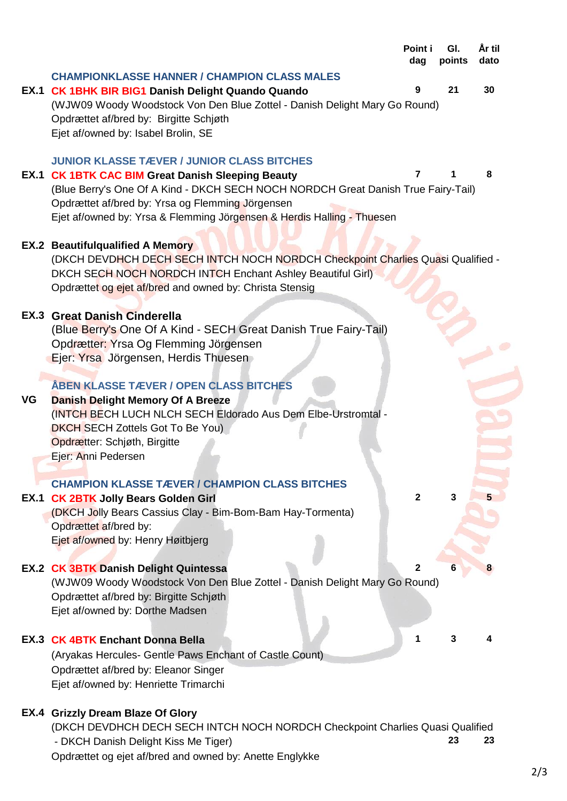|    |                                                                                   | Point i<br>dag | GI.<br>points | Ar til<br>dato |
|----|-----------------------------------------------------------------------------------|----------------|---------------|----------------|
|    | <b>CHAMPIONKLASSE HANNER / CHAMPION CLASS MALES</b>                               |                |               |                |
|    | EX.1 CK 1BHK BIR BIG1 Danish Delight Quando Quando                                | 9              | 21            | 30             |
|    | (WJW09 Woody Woodstock Von Den Blue Zottel - Danish Delight Mary Go Round)        |                |               |                |
|    | Opdrættet af/bred by: Birgitte Schjøth                                            |                |               |                |
|    | Ejet af/owned by: Isabel Brolin, SE                                               |                |               |                |
|    |                                                                                   |                |               |                |
|    | <b>JUNIOR KLASSE TÆVER / JUNIOR CLASS BITCHES</b>                                 |                |               |                |
|    | <b>EX.1 CK 1BTK CAC BIM Great Danish Sleeping Beauty</b>                          | 7              |               | 8              |
|    | (Blue Berry's One Of A Kind - DKCH SECH NOCH NORDCH Great Danish True Fairy-Tail) |                |               |                |
|    | Opdrættet af/bred by: Yrsa og Flemming Jörgensen                                  |                |               |                |
|    | Ejet af/owned by: Yrsa & Flemming Jörgensen & Herdis Halling - Thuesen            |                |               |                |
|    |                                                                                   |                |               |                |
|    | <b>EX.2 Beautifulqualified A Memory</b>                                           |                |               |                |
|    | (DKCH DEVDHCH DECH SECH INTCH NOCH NORDCH Checkpoint Charlies Quasi Qualified -   |                |               |                |
|    | DKCH SECH NOCH NORDCH INTCH Enchant Ashley Beautiful Girl)                        |                |               |                |
|    | Opdrættet og ejet af/bred and owned by: Christa Stensig                           |                |               |                |
|    | <b>EX.3 Great Danish Cinderella</b>                                               |                |               |                |
|    | (Blue Berry's One Of A Kind - SECH Great Danish True Fairy-Tail)                  |                |               |                |
|    | Opdrætter: Yrsa Og Flemming Jörgensen                                             |                |               |                |
|    | Ejer: Yrsa Jörgensen, Herdis Thuesen                                              |                |               |                |
|    |                                                                                   |                |               |                |
|    | <b>ABEN KLASSE TÆVER / OPEN CLASS BITCHES</b>                                     |                |               |                |
| VG | <b>Danish Delight Memory Of A Breeze</b>                                          |                |               |                |
|    | (INTCH BECH LUCH NLCH SECH Eldorado Aus Dem Elbe-Urstromtal -                     |                |               |                |
|    | <b>DKCH SECH Zottels Got To Be You)</b>                                           |                |               |                |
|    | Opdrætter: Schjøth, Birgitte                                                      |                |               |                |
|    | Ejer: Anni Pedersen                                                               |                |               |                |
|    |                                                                                   |                |               |                |
|    | <b>CHAMPION KLASSE TÆVER / CHAMPION CLASS BITCHES</b>                             |                |               |                |
|    | EX.1 CK 2BTK Jolly Bears Golden Girl                                              | $\overline{2}$ | 3             |                |
|    | (DKCH Jolly Bears Cassius Clay - Bim-Bom-Bam Hay-Tormenta)                        |                |               |                |
|    | Opdrættet af/bred by:                                                             |                |               |                |
|    | Ejet af/owned by: Henry Høitbjerg                                                 |                |               |                |
|    | <b>EX.2 CK 3BTK Danish Delight Quintessa</b>                                      | 2              |               |                |
|    | (WJW09 Woody Woodstock Von Den Blue Zottel - Danish Delight Mary Go Round)        |                |               |                |
|    | Opdrættet af/bred by: Birgitte Schjøth                                            |                |               |                |
|    | Ejet af/owned by: Dorthe Madsen                                                   |                |               |                |
|    |                                                                                   |                |               |                |
|    | <b>EX.3 CK 4BTK Enchant Donna Bella</b>                                           | 1              | 3             | 4              |
|    | (Aryakas Hercules- Gentle Paws Enchant of Castle Count)                           |                |               |                |
|    | Opdrættet af/bred by: Eleanor Singer                                              |                |               |                |
|    | Ejet af/owned by: Henriette Trimarchi                                             |                |               |                |
|    |                                                                                   |                |               |                |
|    | <b>EX.4 Grizzly Dream Blaze Of Glory</b>                                          |                |               |                |
|    | (DKCH DEVDHCH DECH SECH INTCH NOCH NORDCH Checkpoint Charlies Quasi Qualified     |                |               |                |
|    | - DKCH Danish Delight Kiss Me Tiger)                                              |                | 23            | 23             |
|    | Opdrættet og ejet af/bred and owned by: Anette Englykke                           |                |               |                |